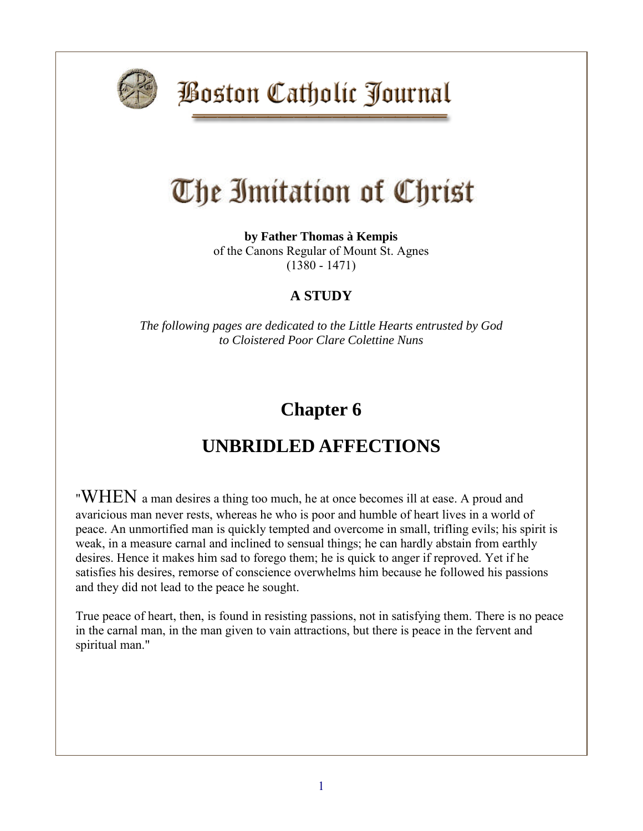

**Boston Catholic Journal** 

# The Imitation of Christ

**by Father Thomas à Kempis** of the Canons Regular of Mount St. Agnes (1380 - 1471)

#### **A STUDY**

*The following pages are dedicated to the Little Hearts entrusted by God to Cloistered Poor Clare Colettine Nuns*

## **Chapter 6**

### **UNBRIDLED AFFECTIONS**

"WHEN a man desires a thing too much, he at once becomes ill at ease. A proud and avaricious man never rests, whereas he who is poor and humble of heart lives in a world of peace. An unmortified man is quickly tempted and overcome in small, trifling evils; his spirit is weak, in a measure carnal and inclined to sensual things; he can hardly abstain from earthly desires. Hence it makes him sad to forego them; he is quick to anger if reproved. Yet if he satisfies his desires, remorse of conscience overwhelms him because he followed his passions and they did not lead to the peace he sought.

True peace of heart, then, is found in resisting passions, not in satisfying them. There is no peace in the carnal man, in the man given to vain attractions, but there is peace in the fervent and spiritual man."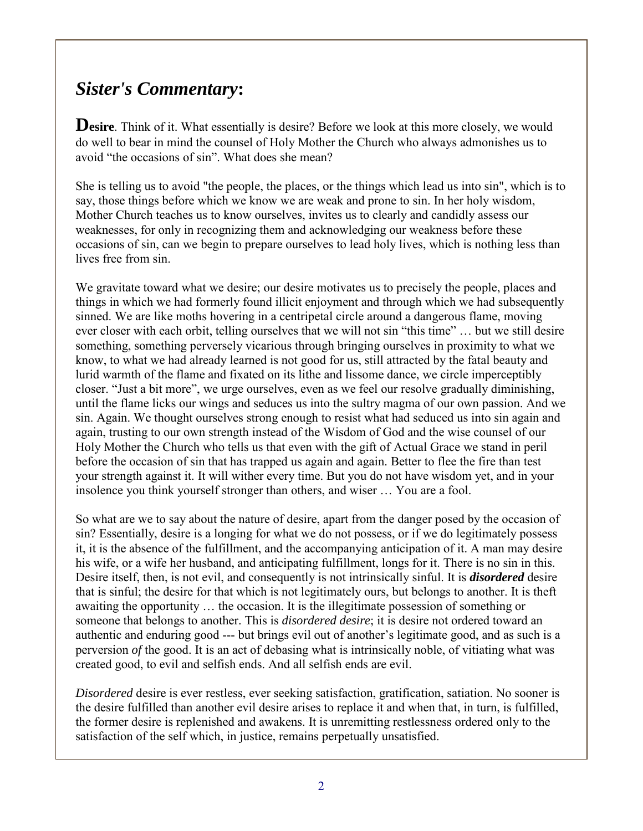#### *Sister's Commentary***:**

**Desire**. Think of it. What essentially is desire? Before we look at this more closely, we would do well to bear in mind the counsel of Holy Mother the Church who always admonishes us to avoid "the occasions of sin". What does she mean?

She is telling us to avoid "the people, the places, or the things which lead us into sin", which is to say, those things before which we know we are weak and prone to sin. In her holy wisdom, Mother Church teaches us to know ourselves, invites us to clearly and candidly assess our weaknesses, for only in recognizing them and acknowledging our weakness before these occasions of sin, can we begin to prepare ourselves to lead holy lives, which is nothing less than lives free from sin.

We gravitate toward what we desire; our desire motivates us to precisely the people, places and things in which we had formerly found illicit enjoyment and through which we had subsequently sinned. We are like moths hovering in a centripetal circle around a dangerous flame, moving ever closer with each orbit, telling ourselves that we will not sin "this time" … but we still desire something, something perversely vicarious through bringing ourselves in proximity to what we know, to what we had already learned is not good for us, still attracted by the fatal beauty and lurid warmth of the flame and fixated on its lithe and lissome dance, we circle imperceptibly closer. "Just a bit more", we urge ourselves, even as we feel our resolve gradually diminishing, until the flame licks our wings and seduces us into the sultry magma of our own passion. And we sin. Again. We thought ourselves strong enough to resist what had seduced us into sin again and again, trusting to our own strength instead of the Wisdom of God and the wise counsel of our Holy Mother the Church who tells us that even with the gift of Actual Grace we stand in peril before the occasion of sin that has trapped us again and again. Better to flee the fire than test your strength against it. It will wither every time. But you do not have wisdom yet, and in your insolence you think yourself stronger than others, and wiser … You are a fool.

So what are we to say about the nature of desire, apart from the danger posed by the occasion of sin? Essentially, desire is a longing for what we do not possess, or if we do legitimately possess it, it is the absence of the fulfillment, and the accompanying anticipation of it. A man may desire his wife, or a wife her husband, and anticipating fulfillment, longs for it. There is no sin in this. Desire itself, then, is not evil, and consequently is not intrinsically sinful. It is *disordered* desire that is sinful; the desire for that which is not legitimately ours, but belongs to another. It is theft awaiting the opportunity … the occasion. It is the illegitimate possession of something or someone that belongs to another. This is *disordered desire*; it is desire not ordered toward an authentic and enduring good --- but brings evil out of another's legitimate good, and as such is a perversion *of* the good. It is an act of debasing what is intrinsically noble, of vitiating what was created good, to evil and selfish ends. And all selfish ends are evil.

*Disordered* desire is ever restless, ever seeking satisfaction, gratification, satiation. No sooner is the desire fulfilled than another evil desire arises to replace it and when that, in turn, is fulfilled, the former desire is replenished and awakens. It is unremitting restlessness ordered only to the satisfaction of the self which, in justice, remains perpetually unsatisfied.